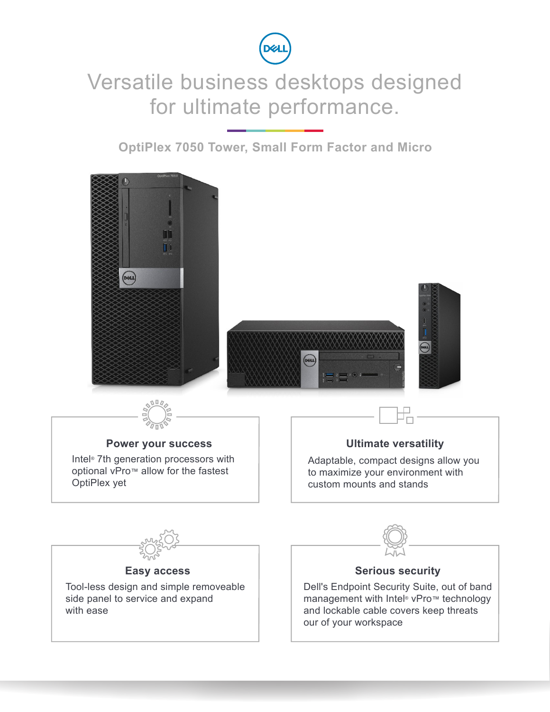

## Versatile business desktops designed for ultimate performance.

**OptiPlex 7050 Tower, Small Form Factor and Micro**

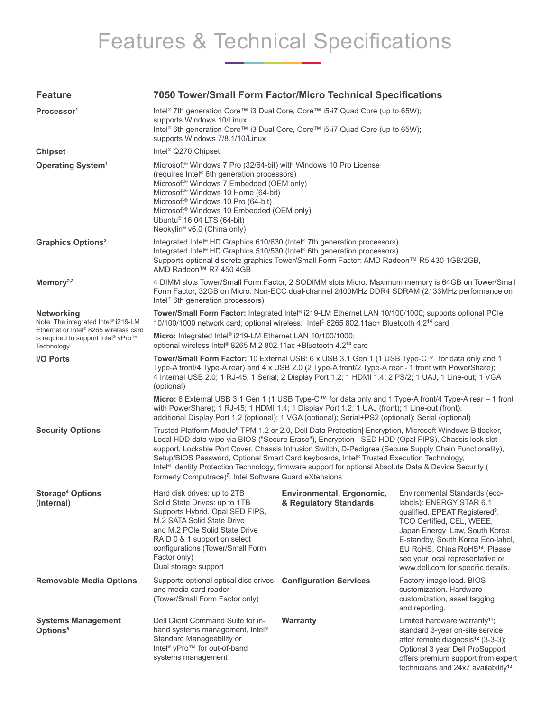## Features & Technical Specifications

#### **Feature 7050 Tower/Small Form Factor/Micro Technical Specifications Processor<sup>1</sup>** Intel® 7th generation Core™ i3 Dual Core, Core™ i5-i7 Quad Core (up to 65W); supports Windows 10/Linux Intel® 6th generation Core™ i3 Dual Core, Core™ i5-i7 Quad Core (up to 65W); supports Windows 7/8.1/10/Linux **Chipset** Intel® Q270 Chipset **Operating System<sup>1</sup> Microsoft<sup>®</sup> Windows 7 Pro (32/64-bit) with Windows 10 Pro License** (requires Intel® 6th generation processors) Microsoft® Windows 7 Embedded (OEM only) Microsoft® Windows 10 Home (64-bit) Microsoft® Windows 10 Pro (64-bit) Microsoft® Windows 10 Embedded (OEM only) Ubuntu® 16.04 LTS (64-bit) Neokylin® v6.0 (China only) Graphics Options<sup>2</sup> Integrated Intel® HD Graphics 610/630 (Intel® 7th generation processors) Integrated Intel® HD Graphics 510/530 (Intel® 6th generation processors) Supports optional discrete graphics Tower/Small Form Factor: AMD Radeon™ R5 430 1GB/2GB, AMD Radeon™ R7 450 4GB **Memory**<sup>2,3</sup> 4 DIMM slots Tower/Small Form Factor, 2 SODIMM slots Micro. Maximum memory is 64GB on Tower/Small Form Factor, 32GB on Micro. Non-ECC dual-channel 2400MHz DDR4 SDRAM (2133MHz performance on Intel® 6th generation processors) **Networking** Note: The integrated Intel® i219-LM Ethernet or Intel® 8265 wireless card is required to support Intel® vPro™ **Technology Tower/Small Form Factor:** Integrated Intel® i219-LM Ethernet LAN 10/100/1000; supports optional PCIe 10/100/1000 network card; optional wireless: Intel® 8265 802.11ac+ Bluetooth 4.2**<sup>14</sup>** card **Micro:** Integrated Intel® i219-LM Ethernet LAN 10/100/1000; optional wireless Intel® 8265 M.2 802.11ac +Bluetooth 4.2**<sup>14</sup>** card **I/O Ports Tower/Small Form Factor:** 10 External USB: 6 x USB 3.1 Gen 1 (1 USB Type-C™ for data only and 1 Type-A front/4 Type-A rear) and 4 x USB 2.0 (2 Type-A front/2 Type-A rear - 1 front with PowerShare); 4 Internal USB 2.0; 1 RJ-45; 1 Serial; 2 Display Port 1.2; 1 HDMI 1.4; 2 PS/2; 1 UAJ, 1 Line-out; 1 VGA (optional) **Micro:** 6 External USB 3.1 Gen 1 (1 USB Type-C™ for data only and 1 Type-A front/4 Type-A rear – 1 front with PowerShare); 1 RJ-45; 1 HDMI 1.4; 1 Display Port 1.2; 1 UAJ (front); 1 Line-out (front); additional Display Port 1.2 (optional); 1 VGA (optional); Serial+PS2 (optional); Serial (optional) **Security Options** Trusted Platform Module<sup>6</sup> TPM 1.2 or 2.0, Dell Data Protection| Encryption, Microsoft Windows Bitlocker, Local HDD data wipe via BIOS ("Secure Erase"), Encryption - SED HDD (Opal FIPS), Chassis lock slot support, Lockable Port Cover, Chassis Intrusion Switch, D-Pedigree (Secure Supply Chain Functionality), Setup/BIOS Password, Optional Smart Card keyboards, Intel® Trusted Execution Technology, Intel® Identity Protection Technology, firmware support for optional Absolute Data & Device Security ( formerly Computrace)**<sup>7</sup>** , Intel Software Guard eXtensions **Storage4 Options (internal)** Hard disk drives: up to 2TB Solid State Drives: up to 1TB Supports Hybrid, Opal SED FIPS, M.2 SATA Solid State Drive and M.2 PCIe Solid State Drive RAID 0 & 1 support on select configurations (Tower/Small Form Factor only) Dual storage support **Environmental, Ergonomic, & Regulatory Standards** Environmental Standards (ecolabels): ENERGY STAR 6.1 qualified, EPEAT Registered**<sup>9</sup>** , TCO Certified, CEL, WEEE, Japan Energy Law, South Korea E-standby, South Korea Eco-label, EU RoHS, China RoHS**<sup>14</sup>**. Please see your local representative or www.dell.com for specific details. **Removable Media Options** Supports optional optical disc drives **Configuration Services** Factory image load. BIOS and media card reader (Tower/Small Form Factor only) customization. Hardware customization, asset tagging and reporting. **Systems Management Options8** Dell Client Command Suite for inband systems management, Intel® Standard Manageability or Intel® vPro™ for out-of-band systems management **Warranty** Limited hardware warranty**<sup>11</sup>**; standard 3-year on-site service after remote diagnosis**<sup>12</sup>** (3-3-3); Optional 3 year Dell ProSupport offers premium support from expert technicians and 24x7 availability**13**.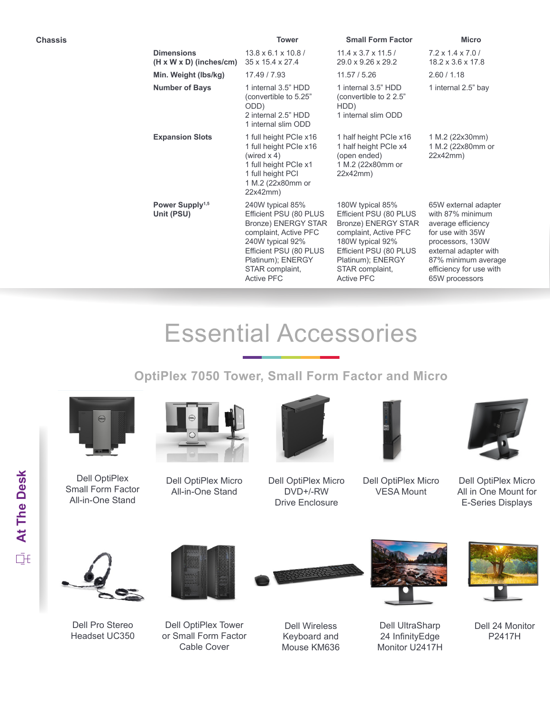|                                                          | <b>Tower</b>                                                                                                                                                                                                 | <b>Small Form Factor</b>                                                                                                                                                                                     | <b>Micro</b>                                                                                                                                                                                        |
|----------------------------------------------------------|--------------------------------------------------------------------------------------------------------------------------------------------------------------------------------------------------------------|--------------------------------------------------------------------------------------------------------------------------------------------------------------------------------------------------------------|-----------------------------------------------------------------------------------------------------------------------------------------------------------------------------------------------------|
| <b>Dimensions</b><br>$(H \times W \times D)$ (inches/cm) | $13.8 \times 6.1 \times 10.8$<br>35 x 15.4 x 27.4                                                                                                                                                            | $11.4 \times 3.7 \times 11.5$<br>29.0 x 9.26 x 29.2                                                                                                                                                          | $7.2 \times 1.4 \times 7.0$<br>$18.2 \times 3.6 \times 17.8$                                                                                                                                        |
| Min. Weight (lbs/kg)                                     | 17.49 / 7.93                                                                                                                                                                                                 | 11.57 / 5.26                                                                                                                                                                                                 | 2.60 / 1.18                                                                                                                                                                                         |
| <b>Number of Bays</b>                                    | 1 internal 3.5" HDD<br>(convertible to 5.25"<br>ODD)<br>2 internal 2.5" HDD<br>1 internal slim ODD                                                                                                           | 1 internal 3.5" HDD<br>(convertible to 2 2.5"<br>HDD)<br>1 internal slim ODD                                                                                                                                 | 1 internal 2.5" bay                                                                                                                                                                                 |
| <b>Expansion Slots</b>                                   | 1 full height PCIe x16<br>1 full height PCIe x16<br>(wired $x 4$ )<br>1 full height PCIe x1<br>1 full height PCI<br>1 M.2 (22x80mm or<br>22x42mm)                                                            | 1 half height PCIe x16<br>1 half height PCIe x4<br>(open ended)<br>1 M.2 (22x80mm or<br>22x42mm)                                                                                                             | 1 M.2 (22x30mm)<br>1 M.2 (22x80mm or<br>22x42mm)                                                                                                                                                    |
| Power Supply <sup>1,5</sup><br>Unit (PSU)                | 240W typical 85%<br>Efficient PSU (80 PLUS<br><b>Bronze) ENERGY STAR</b><br>complaint, Active PFC<br>240W typical 92%<br>Efficient PSU (80 PLUS<br>Platinum); ENERGY<br>STAR complaint,<br><b>Active PFC</b> | 180W typical 85%<br>Efficient PSU (80 PLUS<br><b>Bronze) ENERGY STAR</b><br>complaint, Active PFC<br>180W typical 92%<br>Efficient PSU (80 PLUS<br>Platinum); ENERGY<br>STAR complaint,<br><b>Active PFC</b> | 65W external adapter<br>with 87% minimum<br>average efficiency<br>for use with 35W<br>processors, 130W<br>external adapter with<br>87% minimum average<br>efficiency for use with<br>65W processors |
|                                                          |                                                                                                                                                                                                              |                                                                                                                                                                                                              |                                                                                                                                                                                                     |

# Essential Accessories

**OptiPlex 7050 Tower, Small Form Factor and Micro**



Dell OptiPlex Small Form Factor All-in-One Stand



Dell OptiPlex Micro All-in-One Stand



Dell OptiPlex Micro DVD+/-RW Drive Enclosure



Dell OptiPlex Micro VESA Mount



Dell OptiPlex Micro All in One Mount for E-Series Displays



Dell Pro Stereo Headset UC350



Dell OptiPlex Tower or Small Form Factor Cable Cover



Dell Wireless Keyboard and Mouse KM636



Dell UltraSharp 24 InfinityEdge Monitor U2417H



Dell 24 Monitor P2417H